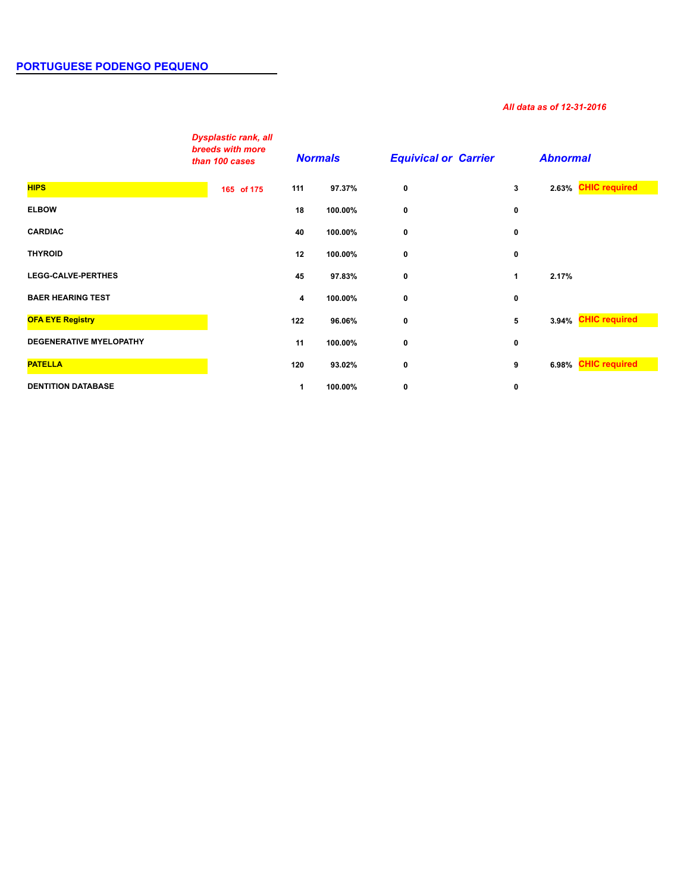## *All data as of 12-31-2016*

|                                | <b>Dysplastic rank, all</b><br>breeds with more<br>than 100 cases | <b>Normals</b> |         | <b>Equivical or Carrier</b> |   | <b>Abnormal</b>     |  |
|--------------------------------|-------------------------------------------------------------------|----------------|---------|-----------------------------|---|---------------------|--|
| <b>HIPS</b>                    | 165 of 175                                                        | 111            | 97.37%  | $\bf{0}$                    | 3 | 2.63% CHIC required |  |
| <b>ELBOW</b>                   |                                                                   | 18             | 100.00% | 0                           | 0 |                     |  |
| <b>CARDIAC</b>                 |                                                                   | 40             | 100.00% | 0                           | 0 |                     |  |
| <b>THYROID</b>                 |                                                                   | 12             | 100.00% | 0                           | 0 |                     |  |
| <b>LEGG-CALVE-PERTHES</b>      |                                                                   | 45             | 97.83%  | 0                           | 1 | 2.17%               |  |
| <b>BAER HEARING TEST</b>       |                                                                   | 4              | 100.00% | 0                           | 0 |                     |  |
| <b>OFA EYE Registry</b>        |                                                                   | 122            | 96.06%  | $\mathbf 0$                 | 5 | 3.94% CHIC required |  |
| <b>DEGENERATIVE MYELOPATHY</b> |                                                                   | 11             | 100.00% | 0                           | 0 |                     |  |
| <b>PATELLA</b>                 |                                                                   | 120            | 93.02%  | 0                           | 9 | 6.98% CHIC required |  |
| <b>DENTITION DATABASE</b>      |                                                                   | 1              | 100.00% | 0                           | 0 |                     |  |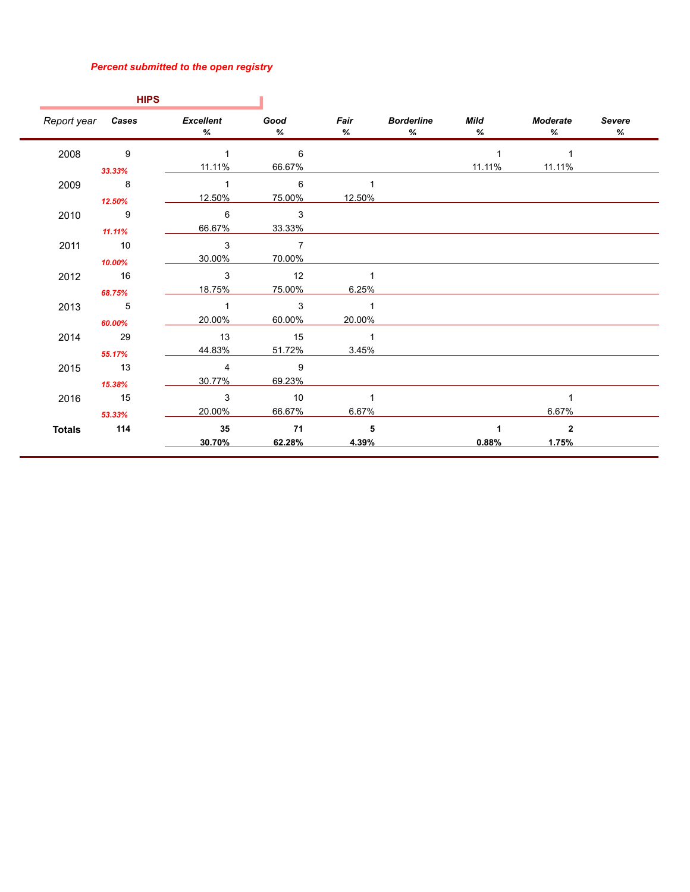## *Percent submitted to the open registry*

|                             | <b>HIPS</b>                |                 |                            |                            |                                    |           |               |                    |
|-----------------------------|----------------------------|-----------------|----------------------------|----------------------------|------------------------------------|-----------|---------------|--------------------|
| Report year Cases Excellent |                            | %               | Good<br>%                  | Fair<br>%                  | <b>Borderline</b><br>$\frac{9}{6}$ | Mild<br>% | Moderate<br>% | <b>Severe</b><br>% |
| 2008                        | $\overline{9}$             | $\overline{1}$  | 6                          |                            |                                    |           |               |                    |
|                             | 33.33%                     | 11.11%          | 66.67%                     |                            |                                    | 11.11%    | 11.11%        |                    |
| 2009                        | $\overline{\phantom{0}}$ 8 | $\overline{1}$  | $\overline{6}$             |                            |                                    |           |               |                    |
|                             | 12.50%                     | 12.50%          | 75.00%                     | 12.50%                     |                                    |           |               |                    |
| 2010                        | $\overline{9}$             | 6               | $\overline{\phantom{a}}$ 3 |                            |                                    |           |               |                    |
|                             | 11.11%                     | 66.67%          | 33.33%                     |                            |                                    |           |               |                    |
| 2011                        | 10                         | 3               | $\overline{7}$             |                            |                                    |           |               |                    |
|                             | 10.00%                     | 30.00%          | 70.00%                     |                            |                                    |           |               |                    |
| 2012                        | $\overline{16}$            | 3               | $\overline{12}$            |                            |                                    |           |               |                    |
|                             | 68.75%                     | 18.75%          | 75.00%                     | 6.25%                      |                                    |           |               |                    |
| 2013                        | $\overline{\phantom{1}}$ 5 | $\overline{1}$  | $\overline{\mathbf{3}}$    | $\overline{1}$             |                                    |           |               |                    |
|                             | 60.00%                     | 20.00%          | 60.00%                     | 20.00%                     |                                    |           |               |                    |
| 2014                        | 29                         | $\overline{13}$ | 15                         | $\overline{\phantom{0}}$ 1 |                                    |           |               |                    |
|                             | 55.17%                     | 44.83%          | 51.72%                     | 3.45%                      |                                    |           |               |                    |
| 2015                        | $\overline{13}$            | $\overline{4}$  | $\overline{\phantom{0}}$ 9 |                            |                                    |           |               |                    |
|                             | 15.38%                     | 30.77%          | 69.23%                     |                            |                                    |           |               |                    |
| 2016                        | 15                         | 3               | $\overline{10}$            |                            |                                    |           |               |                    |
|                             | 53.33%                     | 20.00%          | 66.67%                     | 6.67%                      |                                    |           | 6.67%         |                    |
| <b>Totals</b>               | 114                        | 35              | 71                         | $\overline{\phantom{0}}$ 5 |                                    |           | $\mathbf{2}$  |                    |
|                             |                            | 30.70%          | 62.28%                     | 4.39%                      |                                    | 0.88%     | 1.75%         |                    |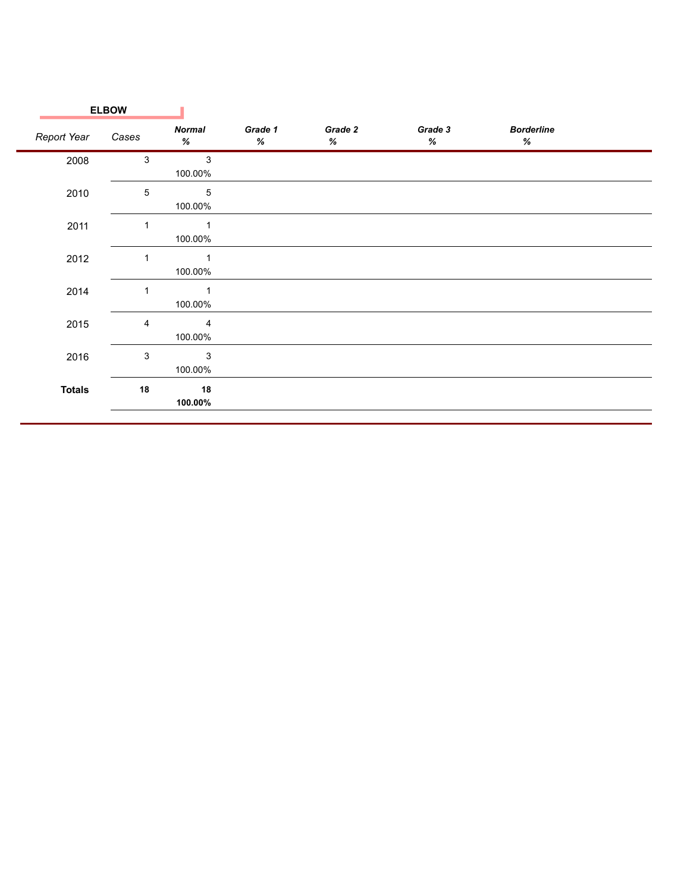|               | <b>ELBOW</b>              |                           |                 |                 |                 |                           |  |
|---------------|---------------------------|---------------------------|-----------------|-----------------|-----------------|---------------------------|--|
| Report Year   | Cases                     | <b>Normal</b><br>$\%$     | Grade 1<br>$\%$ | Grade 2<br>$\%$ | Grade 3<br>$\%$ | <b>Borderline</b><br>$\%$ |  |
| 2008          | $\ensuremath{\mathsf{3}}$ | $\mathbf{3}$<br>100.00%   |                 |                 |                 |                           |  |
| 2010          | $\mathbf 5$               | $\,$ 5 $\,$<br>100.00%    |                 |                 |                 |                           |  |
| 2011          |                           | $\overline{1}$<br>100.00% |                 |                 |                 |                           |  |
| 2012          |                           | $\overline{1}$<br>100.00% |                 |                 |                 |                           |  |
| 2014          | 1                         | $\mathbf 1$<br>100.00%    |                 |                 |                 |                           |  |
| 2015          | $\overline{4}$            | 4<br>100.00%              |                 |                 |                 |                           |  |
| 2016          | $\sqrt{3}$                | $\mathsf 3$<br>100.00%    |                 |                 |                 |                           |  |
| <b>Totals</b> | 18                        | 18<br>100.00%             |                 |                 |                 |                           |  |